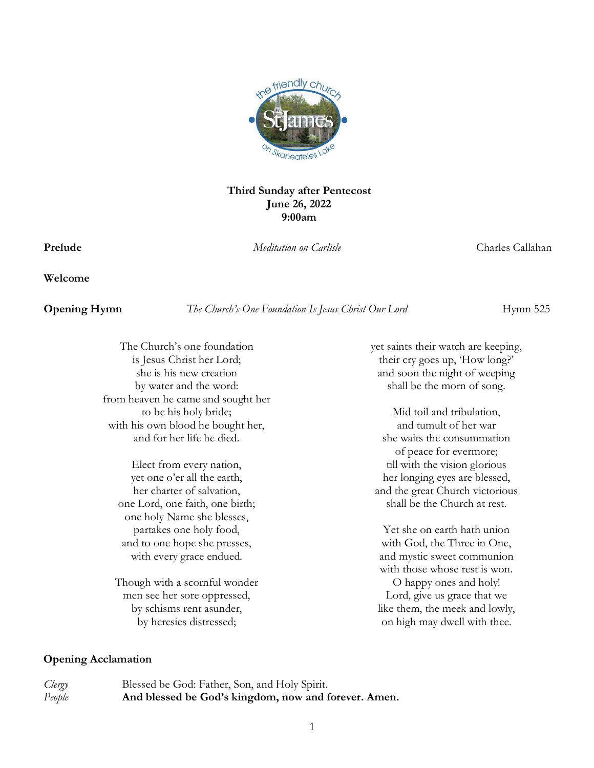

#### **Third Sunday after Pentecost June 26, 2022 9:00am**

**Prelude** *Meditation on Carlisle* Charles Callahan

**Welcome** 

**Opening Hymn** *The Church's One Foundation Is Jesus Christ Our Lord Hymn 525* 

The Church's one foundation is Jesus Christ her Lord; she is his new creation by water and the word: from heaven he came and sought her to be his holy bride; with his own blood he bought her, and for her life he died.

Elect from every nation, yet one o'er all the earth, her charter of salvation, one Lord, one faith, one birth; one holy Name she blesses, partakes one holy food, and to one hope she presses, with every grace endued.

Though with a scornful wonder men see her sore oppressed, by schisms rent asunder, by heresies distressed;

yet saints their watch are keeping, their cry goes up, 'How long?' and soon the night of weeping shall be the morn of song.

Mid toil and tribulation, and tumult of her war she waits the consummation of peace for evermore; till with the vision glorious her longing eyes are blessed, and the great Church victorious shall be the Church at rest.

Yet she on earth hath union with God, the Three in One, and mystic sweet communion with those whose rest is won.

O happy ones and holy! Lord, give us grace that we like them, the meek and lowly, on high may dwell with thee.

#### **Opening Acclamation**

*Clergy* Blessed be God: Father, Son, and Holy Spirit. *People* **And blessed be God's kingdom, now and forever. Amen.**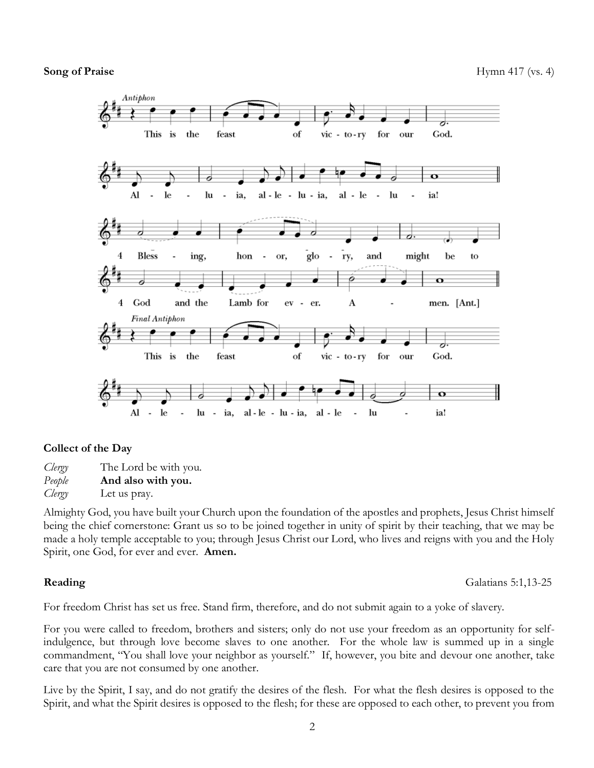

#### **Collect of the Day**

*Clergy* The Lord be with you. *People* **And also with you.**  *Clergy* Let us pray.

Almighty God, you have built your Church upon the foundation of the apostles and prophets, Jesus Christ himself being the chief cornerstone: Grant us so to be joined together in unity of spirit by their teaching, that we may be made a holy temple acceptable to you; through Jesus Christ our Lord, who lives and reigns with you and the Holy Spirit, one God, for ever and ever. **Amen.**

**Reading** Galatians 5:1,13-25

For freedom Christ has set us free. Stand firm, therefore, and do not submit again to a yoke of slavery.

For you were called to freedom, brothers and sisters; only do not use your freedom as an opportunity for selfindulgence, but through love become slaves to one another. For the whole law is summed up in a single commandment, "You shall love your neighbor as yourself." If, however, you bite and devour one another, take care that you are not consumed by one another.

Live by the Spirit, I say, and do not gratify the desires of the flesh. For what the flesh desires is opposed to the Spirit, and what the Spirit desires is opposed to the flesh; for these are opposed to each other, to prevent you from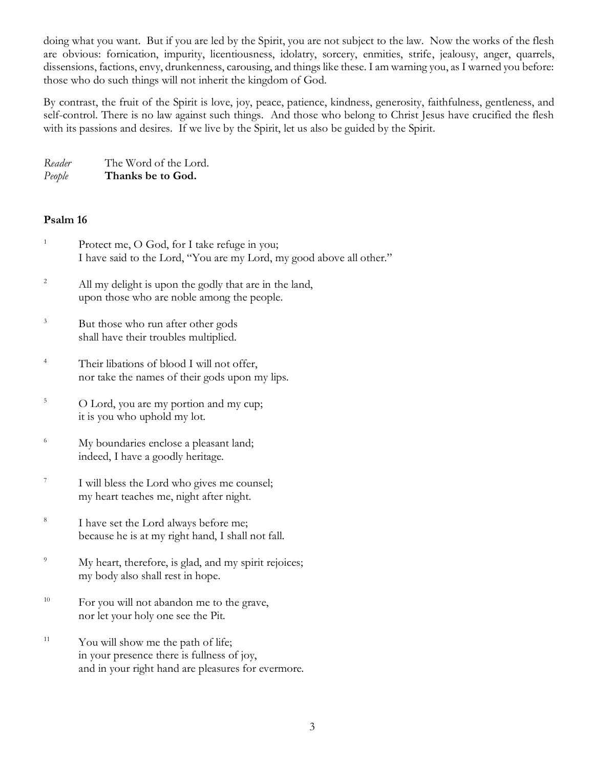doing what you want. But if you are led by the Spirit, you are not subject to the law. Now the works of the flesh are obvious: fornication, impurity, licentiousness, idolatry, sorcery, enmities, strife, jealousy, anger, quarrels, dissensions, factions, envy, drunkenness, carousing, and things like these. I am warning you, as I warned you before: those who do such things will not inherit the kingdom of God.

By contrast, the fruit of the Spirit is love, joy, peace, patience, kindness, generosity, faithfulness, gentleness, and self-control. There is no law against such things. And those who belong to Christ Jesus have crucified the flesh with its passions and desires. If we live by the Spirit, let us also be guided by the Spirit.

| Reader | The Word of the Lord. |
|--------|-----------------------|
| People | Thanks be to God.     |

### **Psalm 16**

- <sup>1</sup> Protect me, O God, for I take refuge in you; I have said to the Lord, "You are my Lord, my good above all other."
- <sup>2</sup> All my delight is upon the godly that are in the land, upon those who are noble among the people.
- <sup>3</sup> But those who run after other gods shall have their troubles multiplied.
- <sup>4</sup> Their libations of blood I will not offer, nor take the names of their gods upon my lips.
- <sup>5</sup> O Lord, you are my portion and my cup; it is you who uphold my lot.
- <sup>6</sup> My boundaries enclose a pleasant land; indeed, I have a goodly heritage.
- 7 I will bless the Lord who gives me counsel; my heart teaches me, night after night.
- 8 I have set the Lord always before me; because he is at my right hand, I shall not fall.
- <sup>9</sup> My heart, therefore, is glad, and my spirit rejoices; my body also shall rest in hope.
- <sup>10</sup> For you will not abandon me to the grave, nor let your holy one see the Pit.
- $11$  You will show me the path of life; in your presence there is fullness of joy, and in your right hand are pleasures for evermore.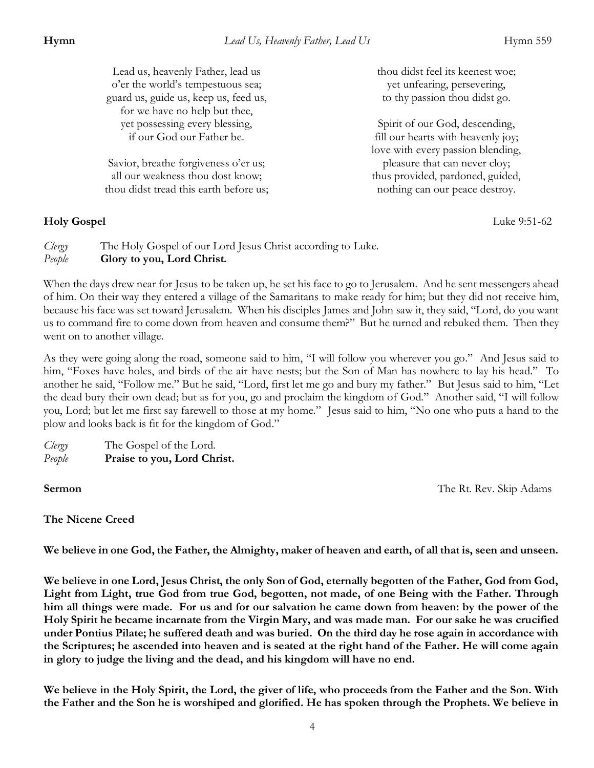| Lead us, heavenly Father, lead us<br>o'er the world's tempestuous sea;<br>guard us, guide us, keep us, feed us,<br>for we have no help but thee, | thou didst feel its keenest woe;<br>yet unfearing, persevering,<br>to thy passion thou didst go.          |
|--------------------------------------------------------------------------------------------------------------------------------------------------|-----------------------------------------------------------------------------------------------------------|
| yet possessing every blessing,<br>if our God our Father be.                                                                                      | Spirit of our God, descending,<br>fill our hearts with heavenly joy;<br>love with every passion blending, |
| Savior, breathe forgiveness o'er us;<br>all our weakness thou dost know;<br>thou didst tread this earth before us;                               | pleasure that can never cloy;<br>thus provided, pardoned, guided,<br>nothing can our peace destroy.       |

### **Holy Gospel** Luke 9:51-62

*Clergy* The Holy Gospel of our Lord Jesus Christ according to Luke. *People* **Glory to you, Lord Christ.**

When the days drew near for Jesus to be taken up, he set his face to go to Jerusalem. And he sent messengers ahead of him. On their way they entered a village of the Samaritans to make ready for him; but they did not receive him, because his face was set toward Jerusalem. When his disciples James and John saw it, they said, "Lord, do you want us to command fire to come down from heaven and consume them?" But he turned and rebuked them. Then they went on to another village.

As they were going along the road, someone said to him, "I will follow you wherever you go." And Jesus said to him, "Foxes have holes, and birds of the air have nests; but the Son of Man has nowhere to lay his head." To another he said, "Follow me." But he said, "Lord, first let me go and bury my father." But Jesus said to him, "Let the dead bury their own dead; but as for you, go and proclaim the kingdom of God." Another said, "I will follow you, Lord; but let me first say farewell to those at my home." Jesus said to him, "No one who puts a hand to the plow and looks back is fit for the kingdom of God."

*Clergy* The Gospel of the Lord. *People* **Praise to you, Lord Christ.** 

**Sermon** The Rt. Rev. Skip Adams

### **The Nicene Creed**

**We believe in one God, the Father, the Almighty, maker of heaven and earth, of all that is, seen and unseen.** 

**We believe in one Lord, Jesus Christ, the only Son of God, eternally begotten of the Father, God from God, Light from Light, true God from true God, begotten, not made, of one Being with the Father. Through him all things were made. For us and for our salvation he came down from heaven: by the power of the Holy Spirit he became incarnate from the Virgin Mary, and was made man. For our sake he was crucified under Pontius Pilate; he suffered death and was buried. On the third day he rose again in accordance with the Scriptures; he ascended into heaven and is seated at the right hand of the Father. He will come again in glory to judge the living and the dead, and his kingdom will have no end.** 

**We believe in the Holy Spirit, the Lord, the giver of life, who proceeds from the Father and the Son. With the Father and the Son he is worshiped and glorified. He has spoken through the Prophets. We believe in**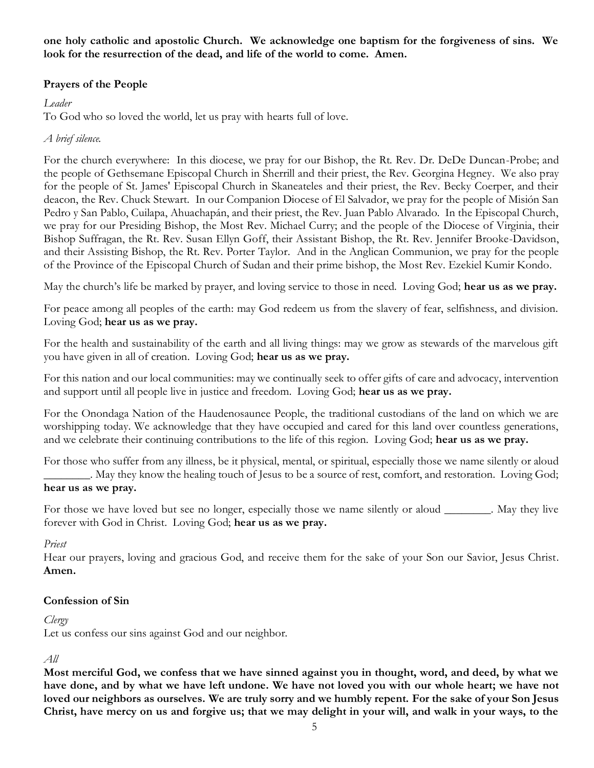**one holy catholic and apostolic Church. We acknowledge one baptism for the forgiveness of sins. We look for the resurrection of the dead, and life of the world to come. Amen.** 

### **Prayers of the People**

### *Leader*

To God who so loved the world, let us pray with hearts full of love.

### *A brief silence.*

For the church everywhere: In this diocese, we pray for our Bishop, the Rt. Rev. Dr. DeDe Duncan-Probe; and the people of Gethsemane Episcopal Church in Sherrill and their priest, the Rev. Georgina Hegney. We also pray for the people of St. James' Episcopal Church in Skaneateles and their priest, the Rev. Becky Coerper, and their deacon, the Rev. Chuck Stewart. In our Companion Diocese of El Salvador, we pray for the people of Misión San Pedro y San Pablo, Cuilapa, Ahuachapán, and their priest, the Rev. Juan Pablo Alvarado. In the Episcopal Church, we pray for our Presiding Bishop, the Most Rev. Michael Curry; and the people of the Diocese of Virginia, their Bishop Suffragan, the Rt. Rev. Susan Ellyn Goff, their Assistant Bishop, the Rt. Rev. Jennifer Brooke-Davidson, and their Assisting Bishop, the Rt. Rev. Porter Taylor. And in the Anglican Communion, we pray for the people of the Province of the Episcopal Church of Sudan and their prime bishop, the Most Rev. Ezekiel Kumir Kondo.

May the church's life be marked by prayer, and loving service to those in need. Loving God; **hear us as we pray.**

For peace among all peoples of the earth: may God redeem us from the slavery of fear, selfishness, and division. Loving God; **hear us as we pray.**

For the health and sustainability of the earth and all living things: may we grow as stewards of the marvelous gift you have given in all of creation. Loving God; **hear us as we pray.**

For this nation and our local communities: may we continually seek to offer gifts of care and advocacy, intervention and support until all people live in justice and freedom. Loving God; **hear us as we pray.**

For the Onondaga Nation of the Haudenosaunee People, the traditional custodians of the land on which we are worshipping today. We acknowledge that they have occupied and cared for this land over countless generations, and we celebrate their continuing contributions to the life of this region. Loving God; **hear us as we pray.**

For those who suffer from any illness, be it physical, mental, or spiritual, especially those we name silently or aloud \_\_\_\_\_\_\_\_. May they know the healing touch of Jesus to be a source of rest, comfort, and restoration. Loving God; **hear us as we pray.**

For those we have loved but see no longer, especially those we name silently or aloud \_\_\_\_\_\_\_. May they live forever with God in Christ. Loving God; **hear us as we pray.**

#### *Priest*

Hear our prayers, loving and gracious God, and receive them for the sake of your Son our Savior, Jesus Christ. **Amen.**

#### **Confession of Sin**

#### *Clergy*

Let us confess our sins against God and our neighbor.

#### *All*

**Most merciful God, we confess that we have sinned against you in thought, word, and deed, by what we have done, and by what we have left undone. We have not loved you with our whole heart; we have not loved our neighbors as ourselves. We are truly sorry and we humbly repent. For the sake of your Son Jesus Christ, have mercy on us and forgive us; that we may delight in your will, and walk in your ways, to the**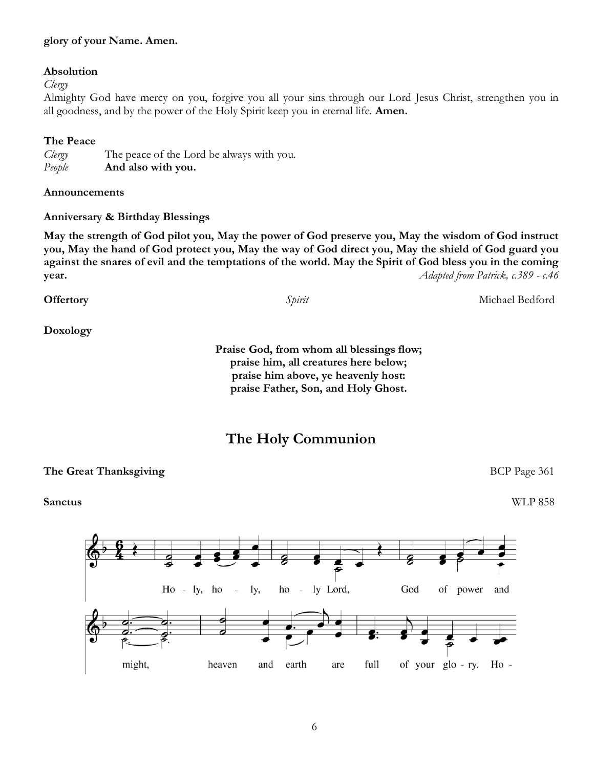#### **glory of your Name. Amen.**

#### **Absolution**

*Clergy*

Almighty God have mercy on you, forgive you all your sins through our Lord Jesus Christ, strengthen you in all goodness, and by the power of the Holy Spirit keep you in eternal life. **Amen.**

#### **The Peace**

*Clergy* The peace of the Lord be always with you. *People* **And also with you.**

**Announcements**

#### **Anniversary & Birthday Blessings**

**May the strength of God pilot you, May the power of God preserve you, May the wisdom of God instruct you, May the hand of God protect you, May the way of God direct you, May the shield of God guard you against the snares of evil and the temptations of the world. May the Spirit of God bless you in the coming year.** *Adapted from Patrick, c.389 - c.46*

**Offertory** *Spirit* Michael Bedford **Doxology Praise God, from whom all blessings flow;**

**praise him, all creatures here below; praise him above, ye heavenly host: praise Father, Son, and Holy Ghost.**

# **The Holy Communion**

#### **The Great Thanksgiving BCP Page 361**

**Sanctus** WLP 858

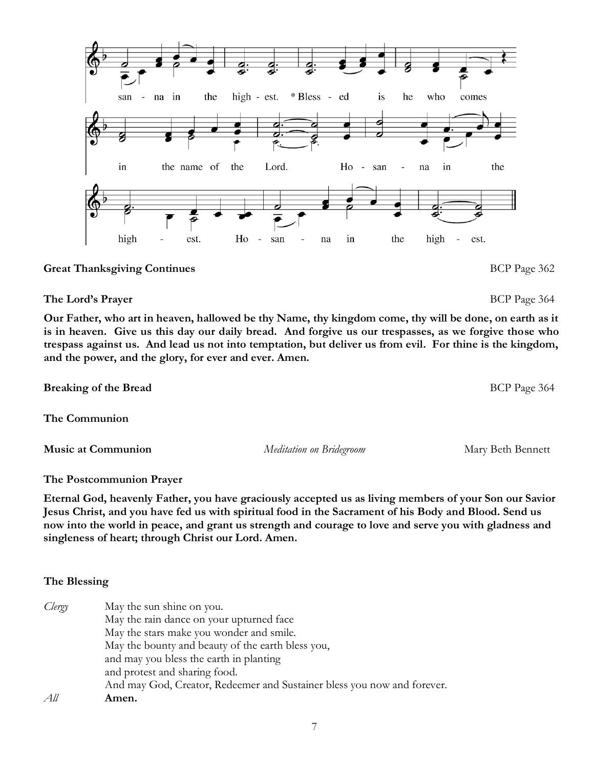**Great Thanksgiving Continues BCP** Page 362

**Our Father, who art in heaven, hallowed be thy Name, thy kingdom come, thy will be done, on earth as it is in heaven. Give us this day our daily bread. And forgive us our trespasses, as we forgive those who trespass against us. And lead us not into temptation, but deliver us from evil. For thine is the kingdom, and the power, and the glory, for ever and ever. Amen.**

**The Communion**

**Breaking of the Bread** BCP Page 364

**Music at Communion** *Meditation on Bridegroom* Mary Beth Bennett

**The Postcommunion Prayer** 

**Eternal God, heavenly Father, you have graciously accepted us as living members of your Son our Savior Jesus Christ, and you have fed us with spiritual food in the Sacrament of his Body and Blood. Send us now into the world in peace, and grant us strength and courage to love and serve you with gladness and singleness of heart; through Christ our Lord. Amen.**

## **The Blessing**

| Clergy | May the sun shine on you.                                               |
|--------|-------------------------------------------------------------------------|
|        | May the rain dance on your upturned face                                |
|        | May the stars make you wonder and smile.                                |
|        | May the bounty and beauty of the earth bless you,                       |
|        | and may you bless the earth in planting                                 |
|        | and protest and sharing food.                                           |
|        | And may God, Creator, Redeemer and Sustainer bless you now and forever. |
| All    | Amen.                                                                   |

|      |                                                    |         | s.  |                   |          |                  |             |       |  |
|------|----------------------------------------------------|---------|-----|-------------------|----------|------------------|-------------|-------|--|
|      | san - na in the high - est. * Bless - ed is he who |         |     |                   |          |                  |             | comes |  |
| in   | the name of the Lord.                              |         |     |                   |          | Ho - san - na in |             | the   |  |
| high | 훟<br>est.<br>$\overline{\phantom{0}}$              | $H_0$ - | san | $\qquad \qquad -$ | in<br>na | the              | high - est. |       |  |

# **The Lord's Prayer** BCP Page 364